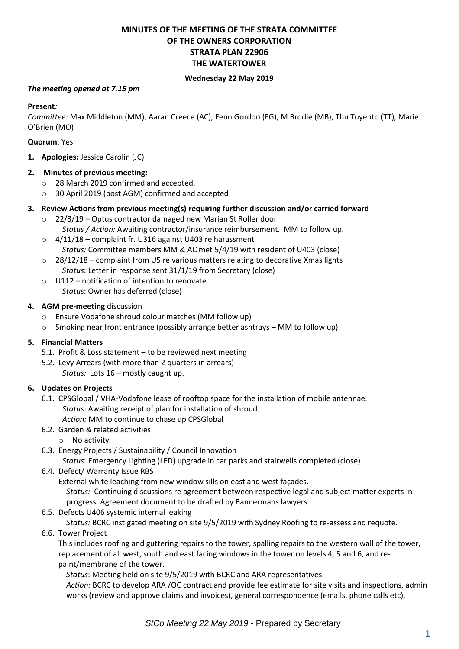# **MINUTES OF THE MEETING OF THE STRATA COMMITTEE OF THE OWNERS CORPORATION STRATA PLAN 22906 THE WATERTOWER**

## **Wednesday 22 May 2019**

#### *The meeting opened at 7.15 pm*

#### **Present***:*

*Committee:* Max Middleton (MM), Aaran Creece (AC), Fenn Gordon (FG), M Brodie (MB), Thu Tuyento (TT), Marie O'Brien (MO)

#### **Quorum**: Yes

**1. Apologies:** Jessica Carolin (JC)

#### **2. Minutes of previous meeting:**

- o 28 March 2019 confirmed and accepted.
- o 30 April 2019 (post AGM) confirmed and accepted

#### **3. Review Actions from previous meeting(s) requiring further discussion and/or carried forward**

- o 22/3/19 Optus contractor damaged new Marian St Roller door *Status / Action:* Awaiting contractor/insurance reimbursement. MM to follow up.
- o 4/11/18 complaint fr. U316 against U403 re harassment *Status:* Committee members MM & AC met 5/4/19 with resident of U403 (close)
- $\circ$  28/12/18 complaint from U5 re various matters relating to decorative Xmas lights *Status*: Letter in response sent 31/1/19 from Secretary (close)
- $\circ$  U112 notification of intention to renovate. *Status*: Owner has deferred (close)

#### **4. AGM pre-meeting** discussion

- o Ensure Vodafone shroud colour matches (MM follow up)
- $\circ$  Smoking near front entrance (possibly arrange better ashtrays MM to follow up)

## **5. Financial Matters**

- 5.1. Profit & Loss statement to be reviewed next meeting
- 5.2. Levy Arrears (with more than 2 quarters in arrears) *Status:* Lots 16 – mostly caught up.

## **6. Updates on Projects**

- 6.1. CPSGlobal / VHA-Vodafone lease of rooftop space for the installation of mobile antennae*. Status:* Awaiting receipt of plan for installation of shroud.
	- *Action:* MM to continue to chase up CPSGlobal
- 6.2. Garden & related activities
	- o No activity
- 6.3. Energy Projects / Sustainability / Council Innovation

*Status*: Emergency Lighting (LED) upgrade in car parks and stairwells completed (close)

6.4. Defect/ Warranty Issue RBS

External white leaching from new window sills on east and west façades.

*Status:* Continuing discussions re agreement between respective legal and subject matter experts in progress. Agreement document to be drafted by Bannermans lawyers.

6.5. Defects U406 systemic internal leaking

*Status:* BCRC instigated meeting on site 9/5/2019 with Sydney Roofing to re-assess and requote.

6.6. Tower Project

This includes roofing and guttering repairs to the tower, spalling repairs to the western wall of the tower, replacement of all west, south and east facing windows in the tower on levels 4, 5 and 6, and repaint/membrane of the tower.

*Status*: Meeting held on site 9/5/2019 with BCRC and ARA representatives.

*Action:* BCRC to develop ARA /OC contract and provide fee estimate for site visits and inspections, admin works (review and approve claims and invoices), general correspondence (emails, phone calls etc),

 $\_$  , and the set of the set of the set of the set of the set of the set of the set of the set of the set of the set of the set of the set of the set of the set of the set of the set of the set of the set of the set of th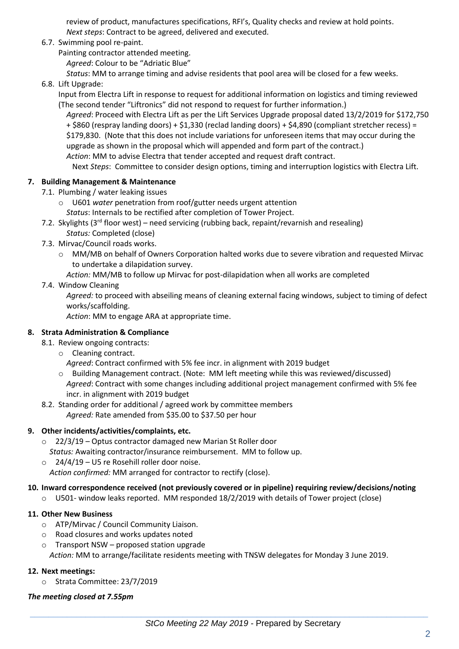review of product, manufactures specifications, RFI's, Quality checks and review at hold points. *Next steps*: Contract to be agreed, delivered and executed.

- 6.7. Swimming pool re-paint.
	- Painting contractor attended meeting.

*Agreed*: Colour to be "Adriatic Blue"

*Status*: MM to arrange timing and advise residents that pool area will be closed for a few weeks.

6.8. Lift Upgrade:

Input from Electra Lift in response to request for additional information on logistics and timing reviewed (The second tender "Liftronics" did not respond to request for further information.)

*Agreed*: Proceed with Electra Lift as per the Lift Services Upgrade proposal dated 13/2/2019 for \$172,750 + \$860 (respray landing doors) + \$1,330 (reclad landing doors) + \$4,890 (compliant stretcher recess) = \$179,830. (Note that this does not include variations for unforeseen items that may occur during the upgrade as shown in the proposal which will appended and form part of the contract.) *Action*: MM to advise Electra that tender accepted and request draft contract.

Next *Steps*: Committee to consider design options, timing and interruption logistics with Electra Lift.

## **7. Building Management & Maintenance**

- 7.1. Plumbing / water leaking issues
	- o U601 *water* penetration from roof/gutter needs urgent attention *Status*: Internals to be rectified after completion of Tower Project.
- 7.2. Skylights (3<sup>rd</sup> floor west) need servicing (rubbing back, repaint/revarnish and resealing) *Status:* Completed (close)
- 7.3. Mirvac/Council roads works.
	- o MM/MB on behalf of Owners Corporation halted works due to severe vibration and requested Mirvac to undertake a dilapidation survey.

*Action:* MM/MB to follow up Mirvac for post-dilapidation when all works are completed

## 7.4. Window Cleaning

*Agreed:* to proceed with abseiling means of cleaning external facing windows, subject to timing of defect works/scaffolding.

*Action*: MM to engage ARA at appropriate time.

## **8. Strata Administration & Compliance**

- 8.1. Review ongoing contracts:
	- o Cleaning contract.
		- *Agreed*: Contract confirmed with 5% fee incr. in alignment with 2019 budget
	- o Building Management contract. (Note: MM left meeting while this was reviewed/discussed) *Agreed*: Contract with some changes including additional project management confirmed with 5% fee
- incr. in alignment with 2019 budget 8.2. Standing order for additional / agreed work by committee members
	- *Agreed:* Rate amended from \$35.00 to \$37.50 per hour

# **9. Other incidents/activities/complaints, etc.**

- o 22/3/19 Optus contractor damaged new Marian St Roller door *Status:* Awaiting contractor/insurance reimbursement. MM to follow up.
- $\circ$  24/4/19 U5 re Rosehill roller door noise. *Action confirmed:* MM arranged for contractor to rectify (close).

## **10. Inward correspondence received (not previously covered or in pipeline) requiring review/decisions/noting**

o U501- window leaks reported. MM responded 18/2/2019 with details of Tower project (close)

## **11. Other New Business**

- o ATP/Mirvac / Council Community Liaison.
- o Road closures and works updates noted
- o Transport NSW proposed station upgrade *Action:* MM to arrange/facilitate residents meeting with TNSW delegates for Monday 3 June 2019.

## **12. Next meetings:**

o Strata Committee: 23/7/2019

## *The meeting closed at 7.55pm*